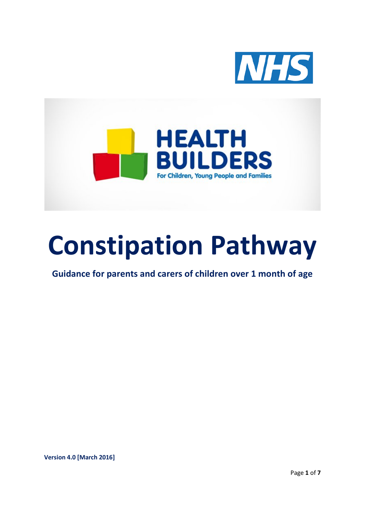



# **Constipation Pathway**

**Guidance for parents and carers of children over 1 month of age**

**Version 4.0 [March 2016]**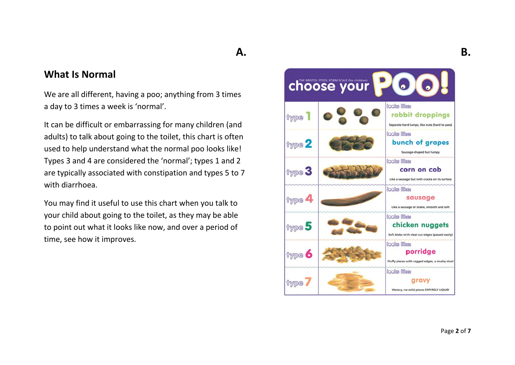## **A.**

#### **What Is Normal**

We are all different, having a poo; anything from 3 times a day to 3 times a week is 'normal'.

It can be difficult or embarrassing for many children (and adults) to talk about going to the toilet, this chart is often used to help understand what the normal poo looks like! Types 3 and 4 are considered the 'normal'; types 1 and 2 are typically associated with constipation and types 5 to 7 with diarrhoea.

You may find it useful to use this chart when you talk to your child about going to the toilet, as they may be able to point out what it looks like now, and over a period of time, see how it improves.

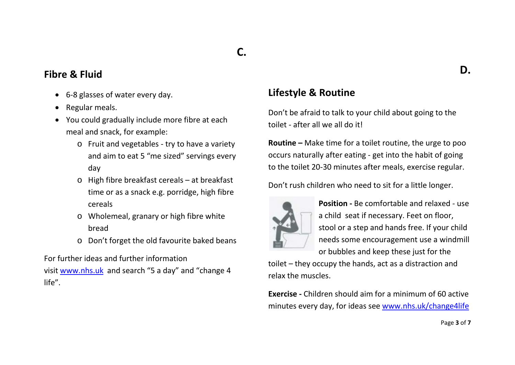## **C.**

#### **Fibre & Fluid**

- 6-8 glasses of water every day.
- Regular meals.
- You could gradually include more fibre at each meal and snack, for example:
	- o Fruit and vegetables try to have a variety and aim to eat 5 "me sized" servings every day
	- o High fibre breakfast cereals at breakfast time or as a snack e.g. porridge, high fibre cereals
	- o Wholemeal, granary or high fibre white bread
	- o Don't forget the old favourite baked beans

For further ideas and further information

visit [www.nhs.uk](http://www.nhs.uk/) and search "5 a day" and "change 4 life".

## **Lifestyle & Routine**

Don't be afraid to talk to your child about going to the toilet - after all we all do it!

**Routine –** Make time for a toilet routine, the urge to poo occurs naturally after eating - get into the habit of going to the toilet 20-30 minutes after meals, exercise regular.

Don't rush children who need to sit for a little longer.



**Position -** Be comfortable and relaxed - use a child seat if necessary. Feet on floor, stool or a step and hands free. If your child needs some encouragement use a windmill or bubbles and keep these just for the

toilet – they occupy the hands, act as a distraction and relax the muscles.

**Exercise -** Children should aim for a minimum of 60 active minutes every day, for ideas see [www.nhs.uk/change4life](http://www.nhs.uk/change4life)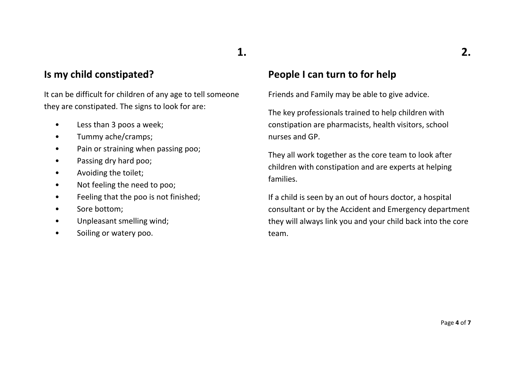## **Is my child constipated?**

It can be difficult for children of any age to tell someone they are constipated. The signs to look for are:

- Less than 3 poos a week;
- Tummy ache/cramps;
- Pain or straining when passing poo;
- Passing dry hard poo;
- Avoiding the toilet;
- Not feeling the need to poo;
- Feeling that the poo is not finished;
- Sore bottom;
- Unpleasant smelling wind;
- Soiling or watery poo.

## **People I can turn to for help**

**1.**

Friends and Family may be able to give advice.

The key professionals trained to help children with constipation are pharmacists, health visitors, school nurses and GP.

They all work together as the core team to look after children with constipation and are experts at helping families.

If a child is seen by an out of hours doctor, a hospital consultant or by the Accident and Emergency department they will always link you and your child back into the core team.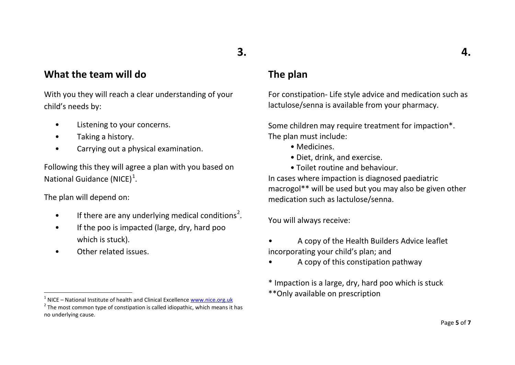## <span id="page-4-1"></span><span id="page-4-0"></span>**3.**

## **What the team will do**

With you they will reach a clear understanding of your child's needs by:

- Listening to your concerns.
- Taking a history.
- Carrying out a physical examination.

Following this they will agree a plan with you based on National Guidance (NICE)<sup>[1](#page-4-0)</sup>.

The plan will depend on:

 $\overline{\phantom{a}}$ 

- $\bullet$  If there are any underlying medical conditions<sup>[2](#page-4-1)</sup>.
- If the poo is impacted (large, dry, hard poo which is stuck).
- Other related issues.

## **The plan**

For constipation- Life style advice and medication such as lactulose/senna is available from your pharmacy.

Some children may require treatment for impaction\*. The plan must include:

- Medicines.
- Diet, drink, and exercise.
- Toilet routine and behaviour.

In cases where impaction is diagnosed paediatric macrogol\*\* will be used but you may also be given other medication such as lactulose/senna.

You will always receive:

- A copy of the Health Builders Advice leaflet incorporating your child's plan; and
- A copy of this constipation pathway

\* Impaction is a large, dry, hard poo which is stuck \*\*Only available on prescription

<sup>&</sup>lt;sup>1</sup> NICE – National Institute of health and Clinical Excellence *www.nice.org.uk*<br><sup>2</sup> The most common type of constipation is called idiopathic, which means it has

no underlying cause.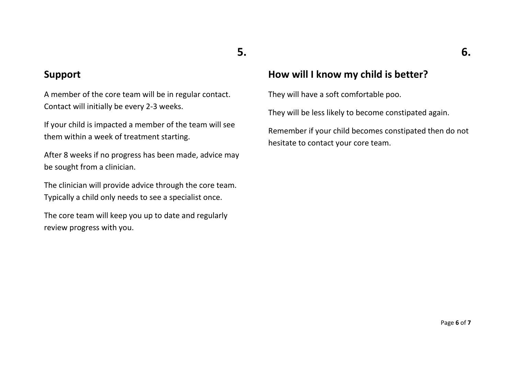## **5.**

#### **Support**

A member of the core team will be in regular contact. Contact will initially be every 2-3 weeks.

If your child is impacted a member of the team will see them within a week of treatment starting.

After 8 weeks if no progress has been made, advice may be sought from a clinician.

The clinician will provide advice through the core team. Typically a child only needs to see a specialist once.

The core team will keep you up to date and regularly review progress with you.

## **How will I know my child is better?**

They will have a soft comfortable poo.

They will be less likely to become constipated again.

Remember if your child becomes constipated then do not hesitate to contact your core team.